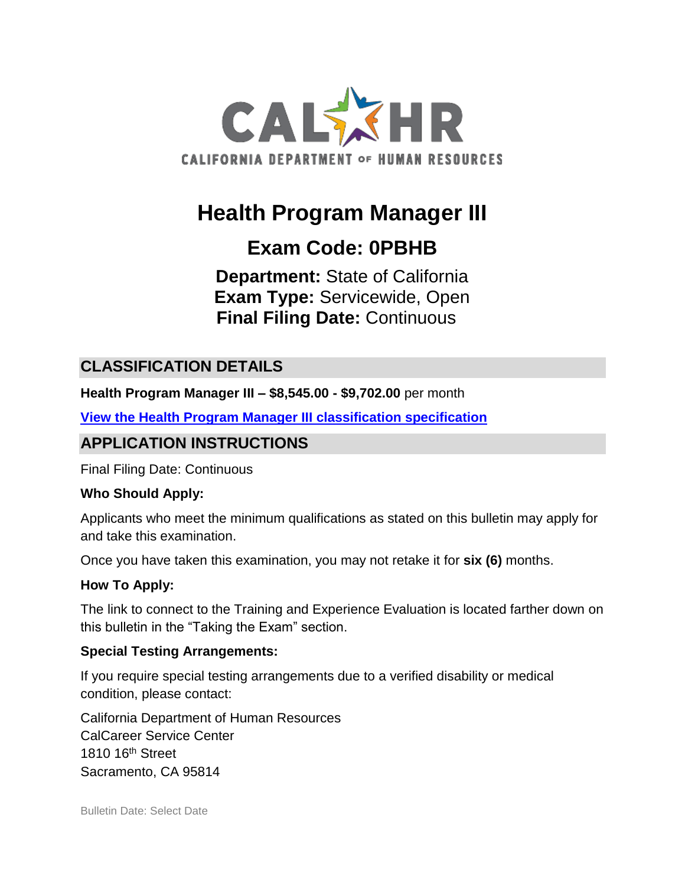

# **Health Program Manager III**

## **Exam Code: 0PBHB**

**Department:** State of California **Exam Type:** Servicewide, Open **Final Filing Date:** Continuous

### **CLASSIFICATION DETAILS**

**Health Program Manager III – \$8,545.00 - \$9,702.00** per month

**View the [Health Program Manager III classification specification](https://www.calhr.ca.gov/state-hr-professionals/pages/8337.aspx)**

### **APPLICATION INSTRUCTIONS**

Final Filing Date: Continuous

#### **Who Should Apply:**

Applicants who meet the minimum qualifications as stated on this bulletin may apply for and take this examination.

Once you have taken this examination, you may not retake it for **six (6)** months.

#### **How To Apply:**

The link to connect to the Training and Experience Evaluation is located farther down on this bulletin in the "Taking the Exam" section.

#### **Special Testing Arrangements:**

If you require special testing arrangements due to a verified disability or medical condition, please contact:

California Department of Human Resources CalCareer Service Center 1810 16<sup>th</sup> Street Sacramento, CA 95814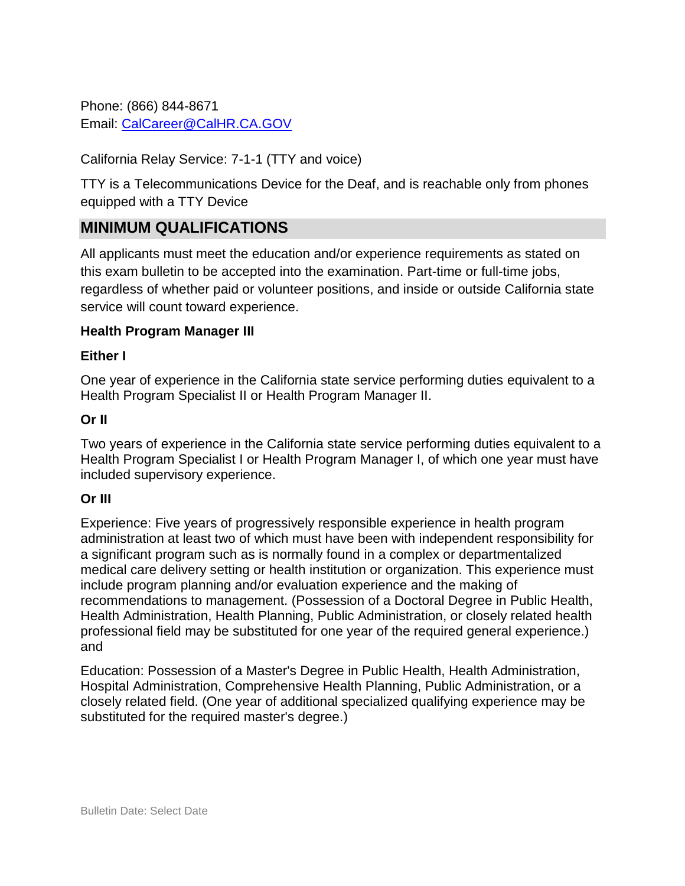Phone: (866) 844-8671 Email: [CalCareer@CalHR.CA.GOV](mailto:CalCareer@CalHR.CA.GOV)

California Relay Service: 7-1-1 (TTY and voice)

TTY is a Telecommunications Device for the Deaf, and is reachable only from phones equipped with a TTY Device

#### **MINIMUM QUALIFICATIONS**

All applicants must meet the education and/or experience requirements as stated on this exam bulletin to be accepted into the examination. Part-time or full-time jobs, regardless of whether paid or volunteer positions, and inside or outside California state service will count toward experience.

#### **Health Program Manager III**

#### **Either I**

One year of experience in the California state service performing duties equivalent to a Health Program Specialist II or Health Program Manager II.

#### **Or II**

Two years of experience in the California state service performing duties equivalent to a Health Program Specialist I or Health Program Manager I, of which one year must have included supervisory experience.

#### **Or III**

Experience: Five years of progressively responsible experience in health program administration at least two of which must have been with independent responsibility for a significant program such as is normally found in a complex or departmentalized medical care delivery setting or health institution or organization. This experience must include program planning and/or evaluation experience and the making of recommendations to management. (Possession of a Doctoral Degree in Public Health, Health Administration, Health Planning, Public Administration, or closely related health professional field may be substituted for one year of the required general experience.) and

Education: Possession of a Master's Degree in Public Health, Health Administration, Hospital Administration, Comprehensive Health Planning, Public Administration, or a closely related field. (One year of additional specialized qualifying experience may be substituted for the required master's degree.)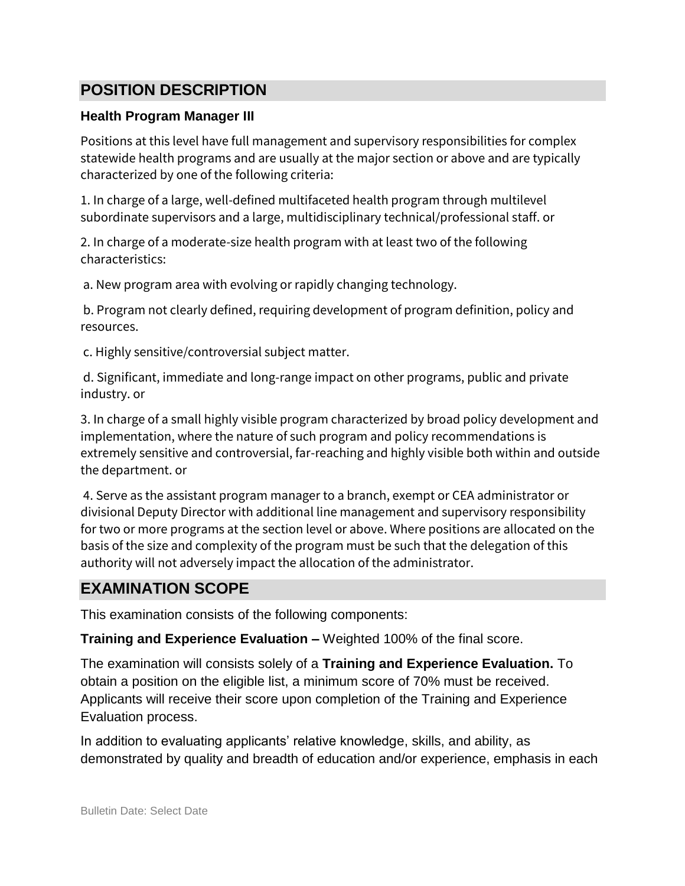### **POSITION DESCRIPTION**

#### **Health Program Manager III**

Positions at this level have full management and supervisory responsibilities for complex statewide health programs and are usually at the major section or above and are typically characterized by one of the following criteria:

1. In charge of a large, well-defined multifaceted health program through multilevel subordinate supervisors and a large, multidisciplinary technical/professional staff. or

2. In charge of a moderate-size health program with at least two of the following characteristics:

a. New program area with evolving or rapidly changing technology.

b. Program not clearly defined, requiring development of program definition, policy and resources.

c. Highly sensitive/controversial subject matter.

d. Significant, immediate and long-range impact on other programs, public and private industry. or

3. In charge of a small highly visible program characterized by broad policy development and implementation, where the nature of such program and policy recommendations is extremely sensitive and controversial, far-reaching and highly visible both within and outside the department. or

4. Serve as the assistant program manager to a branch, exempt or CEA administrator or divisional Deputy Director with additional line management and supervisory responsibility for two or more programs at the section level or above. Where positions are allocated on the basis of the size and complexity of the program must be such that the delegation of this authority will not adversely impact the allocation of the administrator.

### **EXAMINATION SCOPE**

This examination consists of the following components:

**Training and Experience Evaluation –** Weighted 100% of the final score.

The examination will consists solely of a **Training and Experience Evaluation.** To obtain a position on the eligible list, a minimum score of 70% must be received. Applicants will receive their score upon completion of the Training and Experience Evaluation process.

In addition to evaluating applicants' relative knowledge, skills, and ability, as demonstrated by quality and breadth of education and/or experience, emphasis in each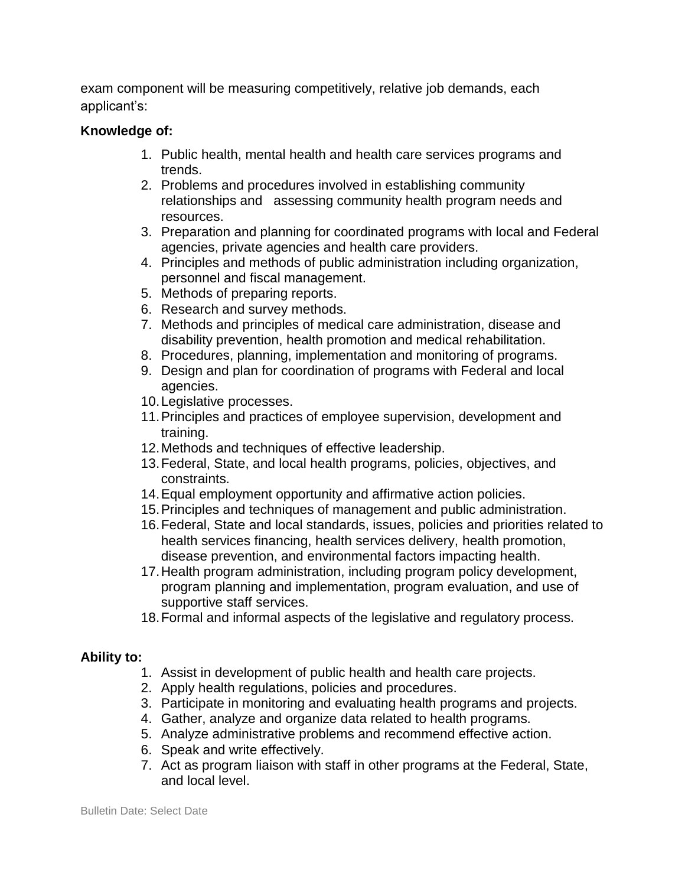exam component will be measuring competitively, relative job demands, each applicant's:

#### **Knowledge of:**

- 1. Public health, mental health and health care services programs and trends.
- 2. Problems and procedures involved in establishing community relationships and assessing community health program needs and resources.
- 3. Preparation and planning for coordinated programs with local and Federal agencies, private agencies and health care providers.
- 4. Principles and methods of public administration including organization, personnel and fiscal management.
- 5. Methods of preparing reports.
- 6. Research and survey methods.
- 7. Methods and principles of medical care administration, disease and disability prevention, health promotion and medical rehabilitation.
- 8. Procedures, planning, implementation and monitoring of programs.
- 9. Design and plan for coordination of programs with Federal and local agencies.
- 10.Legislative processes.
- 11.Principles and practices of employee supervision, development and training.
- 12.Methods and techniques of effective leadership.
- 13.Federal, State, and local health programs, policies, objectives, and constraints.
- 14.Equal employment opportunity and affirmative action policies.
- 15.Principles and techniques of management and public administration.
- 16.Federal, State and local standards, issues, policies and priorities related to health services financing, health services delivery, health promotion, disease prevention, and environmental factors impacting health.
- 17.Health program administration, including program policy development, program planning and implementation, program evaluation, and use of supportive staff services.
- 18.Formal and informal aspects of the legislative and regulatory process.

#### **Ability to:**

- 1. Assist in development of public health and health care projects.
- 2. Apply health regulations, policies and procedures.
- 3. Participate in monitoring and evaluating health programs and projects.
- 4. Gather, analyze and organize data related to health programs.
- 5. Analyze administrative problems and recommend effective action.
- 6. Speak and write effectively.
- 7. Act as program liaison with staff in other programs at the Federal, State, and local level.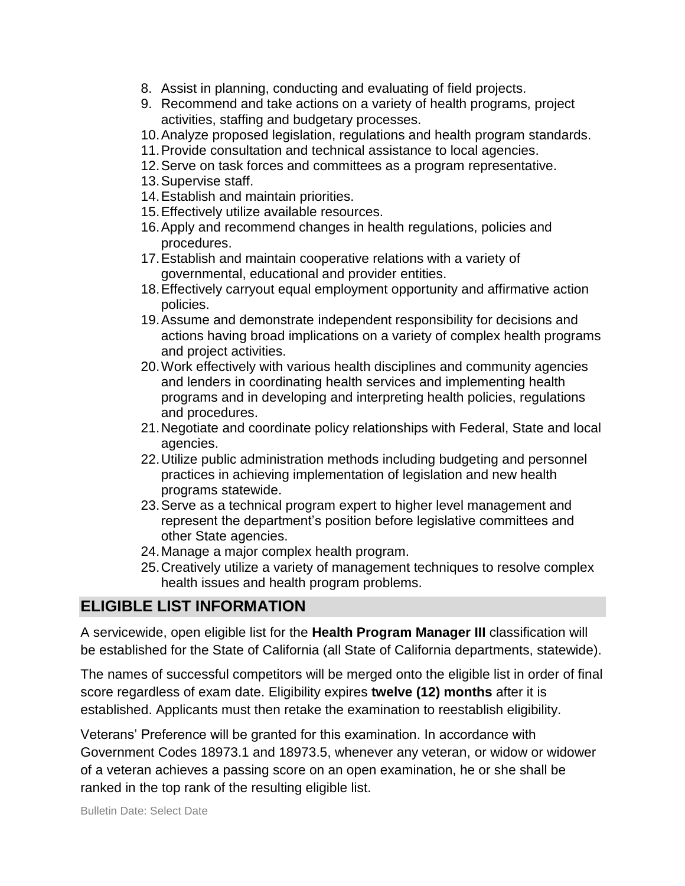- 8. Assist in planning, conducting and evaluating of field projects.
- 9. Recommend and take actions on a variety of health programs, project activities, staffing and budgetary processes.
- 10.Analyze proposed legislation, regulations and health program standards.
- 11.Provide consultation and technical assistance to local agencies.
- 12.Serve on task forces and committees as a program representative.
- 13.Supervise staff.
- 14.Establish and maintain priorities.
- 15.Effectively utilize available resources.
- 16.Apply and recommend changes in health regulations, policies and procedures.
- 17.Establish and maintain cooperative relations with a variety of governmental, educational and provider entities.
- 18.Effectively carryout equal employment opportunity and affirmative action policies.
- 19.Assume and demonstrate independent responsibility for decisions and actions having broad implications on a variety of complex health programs and project activities.
- 20.Work effectively with various health disciplines and community agencies and lenders in coordinating health services and implementing health programs and in developing and interpreting health policies, regulations and procedures.
- 21.Negotiate and coordinate policy relationships with Federal, State and local agencies.
- 22.Utilize public administration methods including budgeting and personnel practices in achieving implementation of legislation and new health programs statewide.
- 23.Serve as a technical program expert to higher level management and represent the department's position before legislative committees and other State agencies.
- 24.Manage a major complex health program.
- 25.Creatively utilize a variety of management techniques to resolve complex health issues and health program problems.

### **ELIGIBLE LIST INFORMATION**

A servicewide, open eligible list for the **Health Program Manager III** classification will be established for the State of California (all State of California departments, statewide).

The names of successful competitors will be merged onto the eligible list in order of final score regardless of exam date. Eligibility expires **twelve (12) months** after it is established. Applicants must then retake the examination to reestablish eligibility.

Veterans' Preference will be granted for this examination. In accordance with Government Codes 18973.1 and 18973.5, whenever any veteran, or widow or widower of a veteran achieves a passing score on an open examination, he or she shall be ranked in the top rank of the resulting eligible list.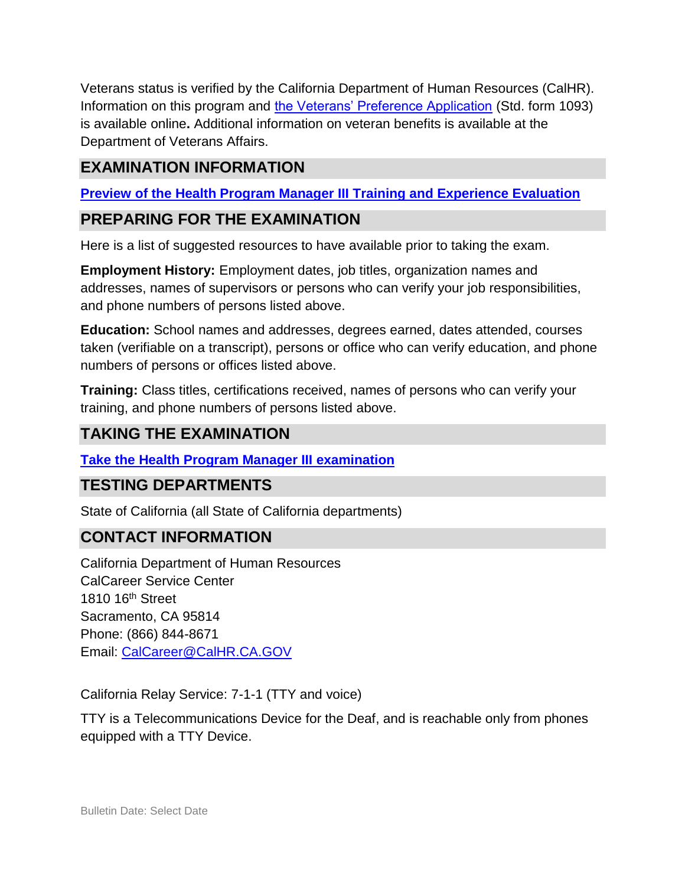Veterans status is verified by the California Department of Human Resources (CalHR). Information on this program and [the Veterans' Preference Application](https://www.jobs.ca.gov/CalHRPublic/Landing/Jobs/VeteransInformation.aspx) (Std. form 1093) is available online**.** Additional information on veteran benefits is available at the Department of Veterans Affairs.

### **EXAMINATION INFORMATION**

**Preview of the Health Program Manager III Training and Experience Evaluation** 

### **PREPARING FOR THE EXAMINATION**

Here is a list of suggested resources to have available prior to taking the exam.

**Employment History:** Employment dates, job titles, organization names and addresses, names of supervisors or persons who can verify your job responsibilities, and phone numbers of persons listed above.

**Education:** School names and addresses, degrees earned, dates attended, courses taken (verifiable on a transcript), persons or office who can verify education, and phone numbers of persons or offices listed above.

**Training:** Class titles, certifications received, names of persons who can verify your training, and phone numbers of persons listed above.

### **TAKING THE EXAMINATION**

#### **Take the [Health Program Manager III](https://www.jobs.ca.gov/CalHRPublic/Login.aspx?ExamId=0PBHB) examination**

### **TESTING DEPARTMENTS**

State of California (all State of California departments)

### **CONTACT INFORMATION**

California Department of Human Resources CalCareer Service Center 1810 16th Street Sacramento, CA 95814 Phone: (866) 844-8671 Email: [CalCareer@CalHR.CA.GOV](mailto:CalCareer@CalHR.CA.GOV)

California Relay Service: 7-1-1 (TTY and voice)

TTY is a Telecommunications Device for the Deaf, and is reachable only from phones equipped with a TTY Device.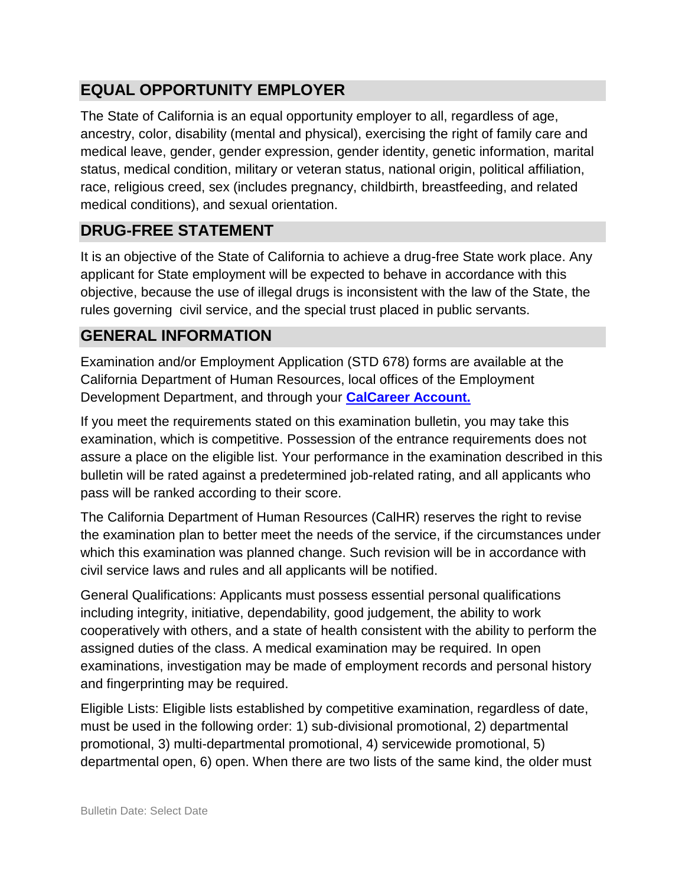### **EQUAL OPPORTUNITY EMPLOYER**

The State of California is an equal opportunity employer to all, regardless of age, ancestry, color, disability (mental and physical), exercising the right of family care and medical leave, gender, gender expression, gender identity, genetic information, marital status, medical condition, military or veteran status, national origin, political affiliation, race, religious creed, sex (includes pregnancy, childbirth, breastfeeding, and related medical conditions), and sexual orientation.

### **DRUG-FREE STATEMENT**

It is an objective of the State of California to achieve a drug-free State work place. Any applicant for State employment will be expected to behave in accordance with this objective, because the use of illegal drugs is inconsistent with the law of the State, the rules governing civil service, and the special trust placed in public servants.

### **GENERAL INFORMATION**

Examination and/or Employment Application (STD 678) forms are available at the California Department of Human Resources, local offices of the Employment Development Department, and through your **[CalCareer Account.](http://www.jobs.ca.gov/)**

If you meet the requirements stated on this examination bulletin, you may take this examination, which is competitive. Possession of the entrance requirements does not assure a place on the eligible list. Your performance in the examination described in this bulletin will be rated against a predetermined job-related rating, and all applicants who pass will be ranked according to their score.

The California Department of Human Resources (CalHR) reserves the right to revise the examination plan to better meet the needs of the service, if the circumstances under which this examination was planned change. Such revision will be in accordance with civil service laws and rules and all applicants will be notified.

General Qualifications: Applicants must possess essential personal qualifications including integrity, initiative, dependability, good judgement, the ability to work cooperatively with others, and a state of health consistent with the ability to perform the assigned duties of the class. A medical examination may be required. In open examinations, investigation may be made of employment records and personal history and fingerprinting may be required.

Eligible Lists: Eligible lists established by competitive examination, regardless of date, must be used in the following order: 1) sub-divisional promotional, 2) departmental promotional, 3) multi-departmental promotional, 4) servicewide promotional, 5) departmental open, 6) open. When there are two lists of the same kind, the older must